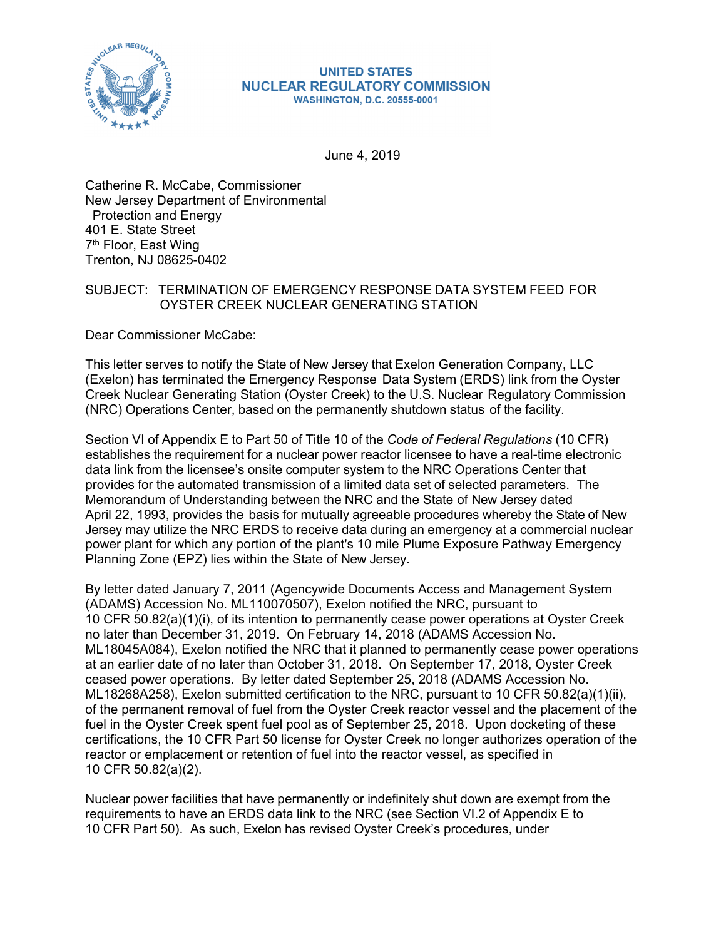

#### **UNITED STATES NUCLEAR REGULATORY COMMISSION WASHINGTON, D.C. 20555-0001**

June 4, 2019

Catherine R. McCabe, Commissioner New Jersey Department of Environmental Protection and Energy 401 E. State Street 7th Floor, East Wing Trenton, NJ 08625-0402

# SUBJECT: TERMINATION OF EMERGENCY RESPONSE DATA SYSTEM FEED FOR OYSTER CREEK NUCLEAR GENERATING STATION

Dear Commissioner McCabe:

This letter serves to notify the State of New Jersey that Exelon Generation Company, LLC (Exelon) has terminated the Emergency Response Data System (ERDS) link from the Oyster Creek Nuclear Generating Station (Oyster Creek) to the U.S. Nuclear Regulatory Commission (NRC) Operations Center, based on the permanently shutdown status of the facility.

Section VI of Appendix E to Part 50 of Title 10 of the *Code of Federal Regulations* (10 CFR) establishes the requirement for a nuclear power reactor licensee to have a real-time electronic data link from the licensee's onsite computer system to the NRC Operations Center that provides for the automated transmission of a limited data set of selected parameters. The Memorandum of Understanding between the NRC and the State of New Jersey dated April 22, 1993, provides the basis for mutually agreeable procedures whereby the State of New Jersey may utilize the NRC ERDS to receive data during an emergency at a commercial nuclear power plant for which any portion of the plant's 10 mile Plume Exposure Pathway Emergency Planning Zone (EPZ) lies within the State of New Jersey.

By letter dated January 7, 2011 (Agencywide Documents Access and Management System (ADAMS) Accession No. ML110070507), Exelon notified the NRC, pursuant to 10 CFR 50.82(a)(1)(i), of its intention to permanently cease power operations at Oyster Creek no later than December 31, 2019. On February 14, 2018 (ADAMS Accession No. ML18045A084), Exelon notified the NRC that it planned to permanently cease power operations at an earlier date of no later than October 31, 2018. On September 17, 2018, Oyster Creek ceased power operations. By letter dated September 25, 2018 (ADAMS Accession No. ML18268A258), Exelon submitted certification to the NRC, pursuant to 10 CFR 50.82(a)(1)(ii), of the permanent removal of fuel from the Oyster Creek reactor vessel and the placement of the fuel in the Oyster Creek spent fuel pool as of September 25, 2018. Upon docketing of these certifications, the 10 CFR Part 50 license for Oyster Creek no longer authorizes operation of the reactor or emplacement or retention of fuel into the reactor vessel, as specified in 10 CFR 50.82(a)(2).

Nuclear power facilities that have permanently or indefinitely shut down are exempt from the requirements to have an ERDS data link to the NRC (see Section VI.2 of Appendix E to 10 CFR Part 50). As such, Exelon has revised Oyster Creek's procedures, under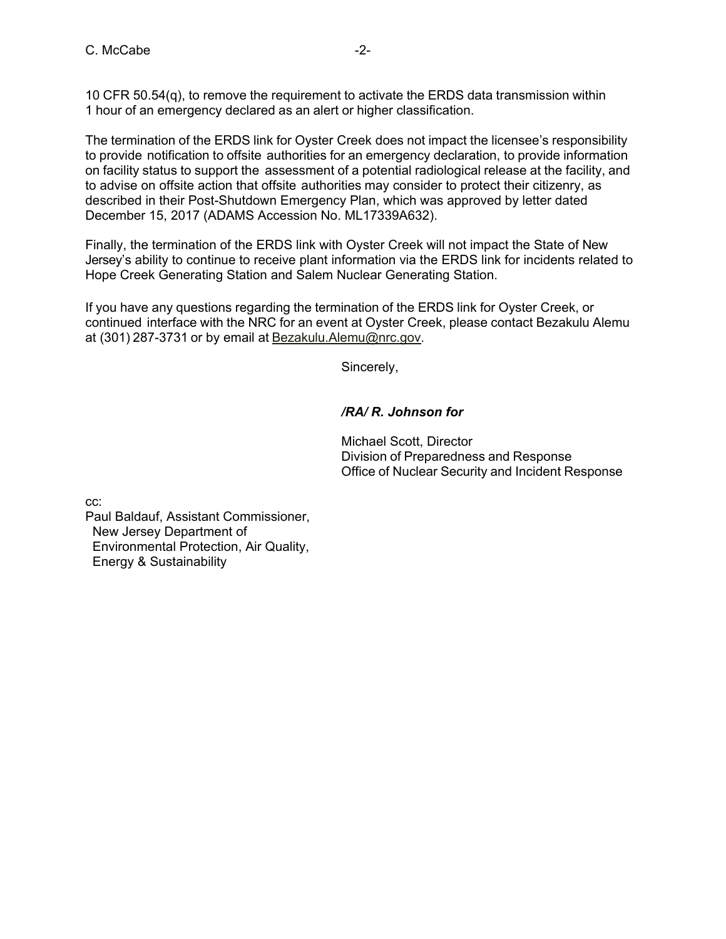10 CFR 50.54(q), to remove the requirement to activate the ERDS data transmission within 1 hour of an emergency declared as an alert or higher classification.

The termination of the ERDS link for Oyster Creek does not impact the licensee's responsibility to provide notification to offsite authorities for an emergency declaration, to provide information on facility status to support the assessment of a potential radiological release at the facility, and to advise on offsite action that offsite authorities may consider to protect their citizenry, as described in their Post-Shutdown Emergency Plan, which was approved by letter dated December 15, 2017 (ADAMS Accession No. ML17339A632).

Finally, the termination of the ERDS link with Oyster Creek will not impact the State of New Jersey's ability to continue to receive plant information via the ERDS link for incidents related to Hope Creek Generating Station and Salem Nuclear Generating Station.

If you have any questions regarding the termination of the ERDS link for Oyster Creek, or continued interface with the NRC for an event at Oyster Creek, please contact Bezakulu Alemu at (301) 287-3731 or by email at Bezakulu.Alemu@nrc.gov.

Sincerely,

# */RA/ R. Johnson for*

Michael Scott, Director Division of Preparedness and Response Office of Nuclear Security and Incident Response

cc:

Paul Baldauf, Assistant Commissioner, New Jersey Department of Environmental Protection, Air Quality, Energy & Sustainability